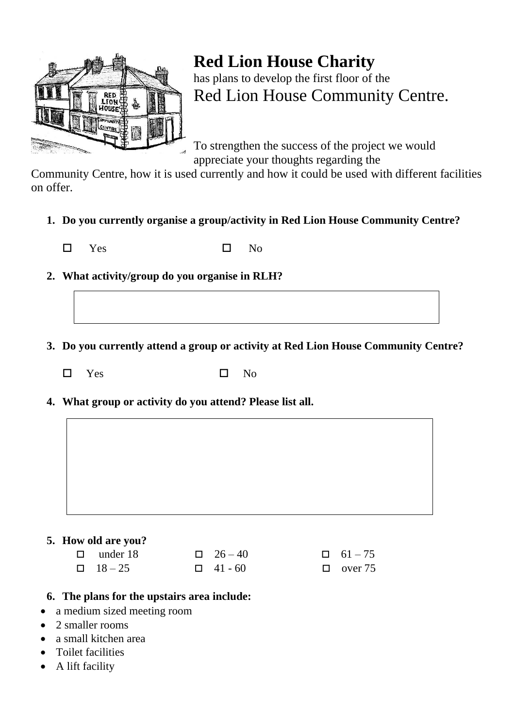

## **Red Lion House Charity** has plans to develop the first floor of the Red Lion House Community Centre.

To strengthen the success of the project we would appreciate your thoughts regarding the

Community Centre, how it is used currently and how it could be used with different facilities on offer.

**1. Do you currently organise a group/activity in Red Lion House Community Centre?**

 $\square$  Yes  $\square$  No

- **2. What activity/group do you organise in RLH?**
- **3. Do you currently attend a group or activity at Red Lion House Community Centre?**
	- $\square$  Yes  $\square$  No

**4. What group or activity do you attend? Please list all.**

## **5. How old are you?**

| $\Box$ under 18 | $\Box$ 26 – 40 | $\Box$ 61 – 75 |
|-----------------|----------------|----------------|
| $\Box$ 18 – 25  | $\Box$ 41 - 60 | $\Box$ over 75 |

- **6. The plans for the upstairs area include:**
- a medium sized meeting room
- 2 smaller rooms
- a small kitchen area
- Toilet facilities
- A lift facility